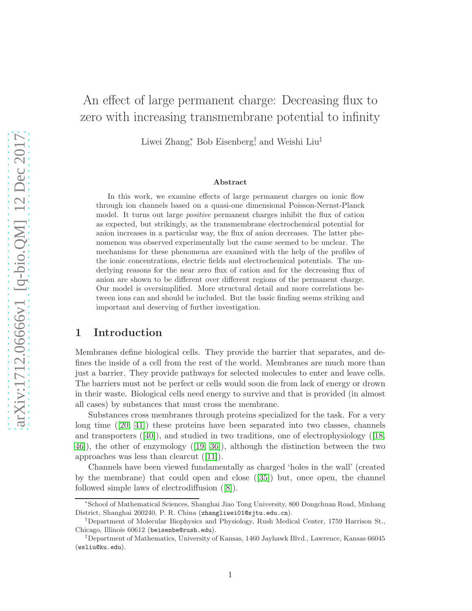# An effect of large permanent charge: Decreasing flux to zero with increasing transmembrane potential to infinity

Liwei Zhang<sup>∗</sup> , Bob Eisenberg† , and Weishi Liu‡

### Abstract

In this work, we examine effects of large permanent charges on ionic flow through ion channels based on a quasi-one dimensional Poisson-Nernst-Planck model. It turns out large positive permanent charges inhibit the flux of cation as expected, but strikingly, as the transmembrane electrochemical potential for anion increases in a particular way, the flux of anion decreases. The latter phenomenon was observed experimentally but the cause seemed to be unclear. The mechanisms for these phenomena are examined with the help of the profiles of the ionic concentrations, electric fields and electrochemical potentials. The underlying reasons for the near zero flux of cation and for the decreasing flux of anion are shown to be different over different regions of the permanent charge. Our model is oversimplified. More structural detail and more correlations between ions can and should be included. But the basic finding seems striking and important and deserving of further investigation.

# 1 Introduction

Membranes define biological cells. They provide the barrier that separates, and defines the inside of a cell from the rest of the world. Membranes are much more than just a barrier. They provide pathways for selected molecules to enter and leave cells. The barriers must not be perfect or cells would soon die from lack of energy or drown in their waste. Biological cells need energy to survive and that is provided (in almost all cases) by substances that must cross the membrane.

Substances cross membranes through proteins specialized for the task. For a very long time  $([20, 41])$  $([20, 41])$  $([20, 41])$  $([20, 41])$  these proteins have been separated into two classes, channels and transporters  $([40])$  $([40])$  $([40])$ , and studied in two traditions, one of electrophysiology ([\[18,](#page-24-1) [46\]](#page-26-1)), the other of enzymology ([\[19,](#page-24-2) [36\]](#page-25-1)), although the distinction between the two approaches was less than clearcut ([\[11\]](#page-24-3)).

Channels have been viewed fundamentally as charged 'holes in the wall' (created by the membrane) that could open and close ([\[35\]](#page-25-2)) but, once open, the channel followed simple laws of electrodiffusion ([\[8\]](#page-23-0)).

<sup>∗</sup> School of Mathematical Sciences, Shanghai Jiao Tong University, 800 Dongchuan Road, Minhang District, Shanghai 200240, P. R. China (zhangliwei01@sjtu.edu.cn).

<sup>†</sup>Department of Molecular Biophysics and Physiology, Rush Medical Center, 1759 Harrison St., Chicago, Illinois 60612 (beisenbe@rush.edu).

<sup>‡</sup>Department of Mathematics, University of Kansas, 1460 Jayhawk Blvd., Lawrence, Kansas 66045 (wsliu@ku.edu).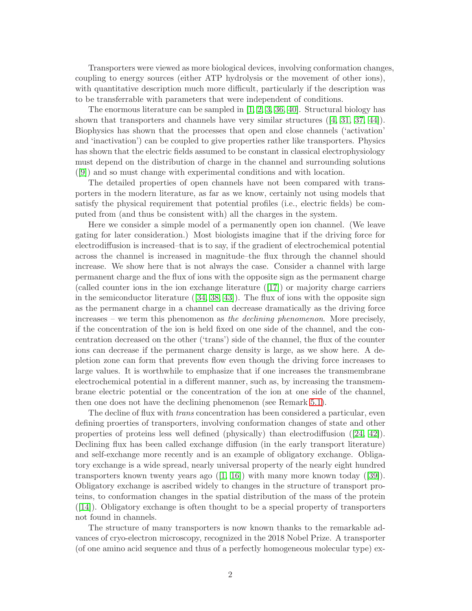Transporters were viewed as more biological devices, involving conformation changes, coupling to energy sources (either ATP hydrolysis or the movement of other ions), with quantitative description much more difficult, particularly if the description was to be transferrable with parameters that were independent of conditions.

The enormous literature can be sampled in  $[1, 2, 3, 36, 40]$  $[1, 2, 3, 36, 40]$  $[1, 2, 3, 36, 40]$  $[1, 2, 3, 36, 40]$  $[1, 2, 3, 36, 40]$ . Structural biology has shown that transporters and channels have very similar structures ([\[4,](#page-23-4) [31,](#page-25-3) [37,](#page-25-4) [44\]](#page-26-2)). Biophysics has shown that the processes that open and close channels ('activation' and 'inactivation') can be coupled to give properties rather like transporters. Physics has shown that the electric fields assumed to be constant in classical electrophysiology must depend on the distribution of charge in the channel and surrounding solutions ([\[9\]](#page-24-4)) and so must change with experimental conditions and with location.

The detailed properties of open channels have not been compared with transporters in the modern literature, as far as we know, certainly not using models that satisfy the physical requirement that potential profiles (i.e., electric fields) be computed from (and thus be consistent with) all the charges in the system.

Here we consider a simple model of a permanently open ion channel. (We leave gating for later consideration.) Most biologists imagine that if the driving force for electrodiffusion is increased–that is to say, if the gradient of electrochemical potential across the channel is increased in magnitude–the flux through the channel should increase. We show here that is not always the case. Consider a channel with large permanent charge and the flux of ions with the opposite sign as the permanent charge (called counter ions in the ion exchange literature ([\[17\]](#page-24-5)) or majority charge carriers in the semiconductor literature  $([34, 38, 43])$  $([34, 38, 43])$  $([34, 38, 43])$  $([34, 38, 43])$  $([34, 38, 43])$ . The flux of ions with the opposite sign as the permanent charge in a channel can decrease dramatically as the driving force increases – we term this phenomenon as the declining phenomenon. More precisely, if the concentration of the ion is held fixed on one side of the channel, and the concentration decreased on the other ('trans') side of the channel, the flux of the counter ions can decrease if the permanent charge density is large, as we show here. A depletion zone can form that prevents flow even though the driving force increases to large values. It is worthwhile to emphasize that if one increases the transmembrane electrochemical potential in a different manner, such as, by increasing the transmembrane electric potential or the concentration of the ion at one side of the channel, then one does not have the declining phenomenon (see Remark [5.1\)](#page-15-0).

The decline of flux with trans concentration has been considered a particular, even defining proerties of transporters, involving conformation changes of state and other properties of proteins less well defined (physically) than electrodiffusion ([\[24,](#page-24-6) [42\]](#page-26-4)). Declining flux has been called exchange diffusion (in the early transport literature) and self-exchange more recently and is an example of obligatory exchange. Obligatory exchange is a wide spread, nearly universal property of the nearly eight hundred transporters known twenty years ago  $([1, 16])$  $([1, 16])$  $([1, 16])$  $([1, 16])$  with many more known today  $([39])$  $([39])$  $([39])$ . Obligatory exchange is ascribed widely to changes in the structure of transport proteins, to conformation changes in the spatial distribution of the mass of the protein ([\[14\]](#page-24-8)). Obligatory exchange is often thought to be a special property of transporters not found in channels.

The structure of many transporters is now known thanks to the remarkable advances of cryo-electron microscopy, recognized in the 2018 Nobel Prize. A transporter (of one amino acid sequence and thus of a perfectly homogeneous molecular type) ex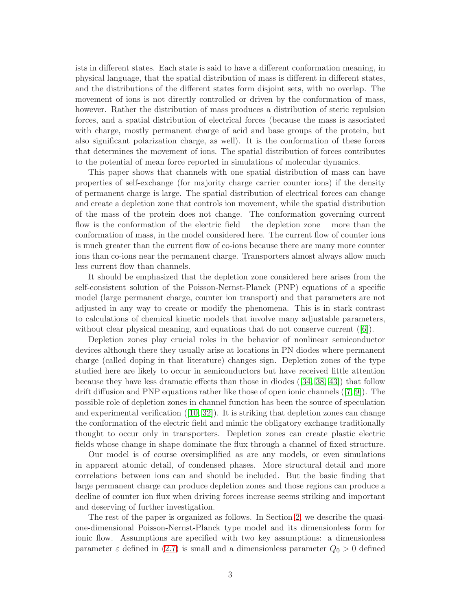ists in different states. Each state is said to have a different conformation meaning, in physical language, that the spatial distribution of mass is different in different states, and the distributions of the different states form disjoint sets, with no overlap. The movement of ions is not directly controlled or driven by the conformation of mass, however. Rather the distribution of mass produces a distribution of steric repulsion forces, and a spatial distribution of electrical forces (because the mass is associated with charge, mostly permanent charge of acid and base groups of the protein, but also significant polarization charge, as well). It is the conformation of these forces that determines the movement of ions. The spatial distribution of forces contributes to the potential of mean force reported in simulations of molecular dynamics.

This paper shows that channels with one spatial distribution of mass can have properties of self-exchange (for majority charge carrier counter ions) if the density of permanent charge is large. The spatial distribution of electrical forces can change and create a depletion zone that controls ion movement, while the spatial distribution of the mass of the protein does not change. The conformation governing current flow is the conformation of the electric field – the depletion zone – more than the conformation of mass, in the model considered here. The current flow of counter ions is much greater than the current flow of co-ions because there are many more counter ions than co-ions near the permanent charge. Transporters almost always allow much less current flow than channels.

It should be emphasized that the depletion zone considered here arises from the self-consistent solution of the Poisson-Nernst-Planck (PNP) equations of a specific model (large permanent charge, counter ion transport) and that parameters are not adjusted in any way to create or modify the phenomena. This is in stark contrast to calculations of chemical kinetic models that involve many adjustable parameters, without clear physical meaning, and equations that do not conserve current  $([6])$  $([6])$  $([6])$ .

Depletion zones play crucial roles in the behavior of nonlinear semiconductor devices although there they usually arise at locations in PN diodes where permanent charge (called doping in that literature) changes sign. Depletion zones of the type studied here are likely to occur in semiconductors but have received little attention because they have less dramatic effects than those in diodes ([\[34,](#page-25-5) [38,](#page-25-6) [43\]](#page-26-3)) that follow drift diffusion and PNP equations rather like those of open ionic channels ([\[7,](#page-23-6) [9\]](#page-24-4)). The possible role of depletion zones in channel function has been the source of speculation and experimental verification  $([10, 32])$  $([10, 32])$  $([10, 32])$  $([10, 32])$ . It is striking that depletion zones can change the conformation of the electric field and mimic the obligatory exchange traditionally thought to occur only in transporters. Depletion zones can create plastic electric fields whose change in shape dominate the flux through a channel of fixed structure.

Our model is of course oversimplified as are any models, or even simulations in apparent atomic detail, of condensed phases. More structural detail and more correlations between ions can and should be included. But the basic finding that large permanent charge can produce depletion zones and those regions can produce a decline of counter ion flux when driving forces increase seems striking and important and deserving of further investigation.

The rest of the paper is organized as follows. In Section [2,](#page-3-0) we describe the quasione-dimensional Poisson-Nernst-Planck type model and its dimensionless form for ionic flow. Assumptions are specified with two key assumptions: a dimensionless parameter  $\varepsilon$  defined in [\(2.7\)](#page-5-0) is small and a dimensionless parameter  $Q_0 > 0$  defined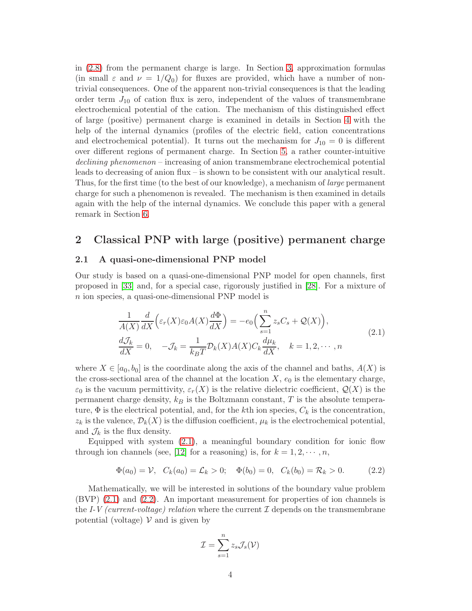in [\(2.8\)](#page-6-0) from the permanent charge is large. In Section [3,](#page-7-0) approximation formulas (in small  $\varepsilon$  and  $\nu = 1/Q_0$ ) for fluxes are provided, which have a number of nontrivial consequences. One of the apparent non-trivial consequences is that the leading order term  $J_{10}$  of cation flux is zero, independent of the values of transmembrane electrochemical potential of the cation. The mechanism of this distinguished effect of large (positive) permanent charge is examined in details in Section [4](#page-8-0) with the help of the internal dynamics (profiles of the electric field, cation concentrations and electrochemical potential). It turns out the mechanism for  $J_{10} = 0$  is different over different regions of permanent charge. In Section [5,](#page-15-1) a rather counter-intuitive declining phenomenon – increasing of anion transmembrane electrochemical potential leads to decreasing of anion flux – is shown to be consistent with our analytical result. Thus, for the first time (to the best of our knowledge), a mechanism of large permanent charge for such a phenomenon is revealed. The mechanism is then examined in details again with the help of the internal dynamics. We conclude this paper with a general remark in Section [6.](#page-23-7)

# <span id="page-3-0"></span>2 Classical PNP with large (positive) permanent charge

# 2.1 A quasi-one-dimensional PNP model

Our study is based on a quasi-one-dimensional PNP model for open channels, first proposed in [\[33\]](#page-25-9) and, for a special case, rigorously justified in [\[28\]](#page-25-10). For a mixture of n ion species, a quasi-one-dimensional PNP model is

<span id="page-3-1"></span>
$$
\frac{1}{A(X)}\frac{d}{dX}\Big(\varepsilon_r(X)\varepsilon_0A(X)\frac{d\Phi}{dX}\Big) = -e_0\Big(\sum_{s=1}^n z_sC_s + \mathcal{Q}(X)\Big),
$$
\n
$$
\frac{d\mathcal{J}_k}{dX} = 0, \quad -\mathcal{J}_k = \frac{1}{k_BT}\mathcal{D}_k(X)A(X)C_k\frac{d\mu_k}{dX}, \quad k = 1, 2, \cdots, n
$$
\n(2.1)

where  $X \in [a_0, b_0]$  is the coordinate along the axis of the channel and baths,  $A(X)$  is the cross-sectional area of the channel at the location  $X$ ,  $e_0$  is the elementary charge,  $\varepsilon_0$  is the vacuum permittivity,  $\varepsilon_r(X)$  is the relative dielectric coefficient,  $\mathcal{Q}(X)$  is the permanent charge density,  $k_B$  is the Boltzmann constant, T is the absolute temperature,  $\Phi$  is the electrical potential, and, for the kth ion species,  $C_k$  is the concentration,  $z_k$  is the valence,  $\mathcal{D}_k(X)$  is the diffusion coefficient,  $\mu_k$  is the electrochemical potential, and  $\mathcal{J}_k$  is the flux density.

Equipped with system  $(2.1)$ , a meaningful boundary condition for ionic flow through ion channels (see, [\[12\]](#page-24-10) for a reasoning) is, for  $k = 1, 2, \dots, n$ ,

<span id="page-3-2"></span>
$$
\Phi(a_0) = \mathcal{V}, \quad C_k(a_0) = \mathcal{L}_k > 0; \quad \Phi(b_0) = 0, \quad C_k(b_0) = \mathcal{R}_k > 0. \tag{2.2}
$$

Mathematically, we will be interested in solutions of the boundary value problem (BVP) [\(2.1\)](#page-3-1) and [\(2.2\)](#page-3-2). An important measurement for properties of ion channels is the I-V (current-voltage) relation where the current  $\mathcal I$  depends on the transmembrane potential (voltage)  $\mathcal V$  and is given by

$$
\mathcal{I} = \sum_{s=1}^{n} z_s \mathcal{J}_s(\mathcal{V})
$$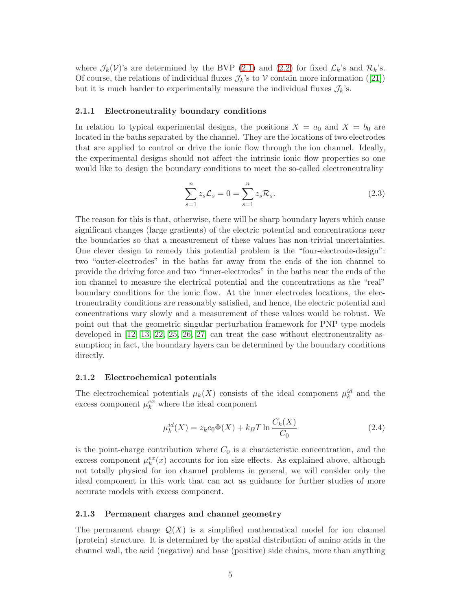where  $\mathcal{J}_k(\mathcal{V})$ 's are determined by the BVP [\(2.1\)](#page-3-1) and [\(2.2\)](#page-3-2) for fixed  $\mathcal{L}_k$ 's and  $\mathcal{R}_k$ 's. Of course, the relations of individual fluxes  $\mathcal{J}_k$ 's to V contain more information ([\[21\]](#page-24-11)) but it is much harder to experimentally measure the individual fluxes  $\mathcal{J}_k$ 's.

# 2.1.1 Electroneutrality boundary conditions

In relation to typical experimental designs, the positions  $X = a_0$  and  $X = b_0$  are located in the baths separated by the channel. They are the locations of two electrodes that are applied to control or drive the ionic flow through the ion channel. Ideally, the experimental designs should not affect the intrinsic ionic flow properties so one would like to design the boundary conditions to meet the so-called electroneutrality

<span id="page-4-0"></span>
$$
\sum_{s=1}^{n} z_s \mathcal{L}_s = 0 = \sum_{s=1}^{n} z_s \mathcal{R}_s.
$$
 (2.3)

The reason for this is that, otherwise, there will be sharp boundary layers which cause significant changes (large gradients) of the electric potential and concentrations near the boundaries so that a measurement of these values has non-trivial uncertainties. One clever design to remedy this potential problem is the "four-electrode-design": two "outer-electrodes" in the baths far away from the ends of the ion channel to provide the driving force and two "inner-electrodes" in the baths near the ends of the ion channel to measure the electrical potential and the concentrations as the "real" boundary conditions for the ionic flow. At the inner electrodes locations, the electroneutrality conditions are reasonably satisfied, and hence, the electric potential and concentrations vary slowly and a measurement of these values would be robust. We point out that the geometric singular perturbation framework for PNP type models developed in [\[12,](#page-24-10) [13,](#page-24-12) [22,](#page-24-13) [25,](#page-25-11) [26,](#page-25-12) [27\]](#page-25-13) can treat the case without electroneutrality assumption; in fact, the boundary layers can be determined by the boundary conditions directly.

#### 2.1.2 Electrochemical potentials

The electrochemical potentials  $\mu_k(X)$  consists of the ideal component  $\mu_k^{id}$  and the excess component  $\mu_k^{ex}$  where the ideal component

<span id="page-4-1"></span>
$$
\mu_k^{id}(X) = z_k e_0 \Phi(X) + k_B T \ln \frac{C_k(X)}{C_0}
$$
\n(2.4)

is the point-charge contribution where  $C_0$  is a characteristic concentration, and the excess component  $\mu_k^{ex}(x)$  accounts for ion size effects. As explained above, although not totally physical for ion channel problems in general, we will consider only the ideal component in this work that can act as guidance for further studies of more accurate models with excess component.

### 2.1.3 Permanent charges and channel geometry

The permanent charge  $\mathcal{Q}(X)$  is a simplified mathematical model for ion channel (protein) structure. It is determined by the spatial distribution of amino acids in the channel wall, the acid (negative) and base (positive) side chains, more than anything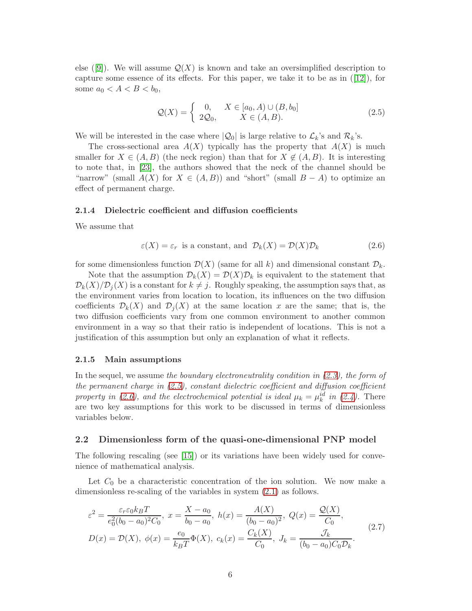else ([\[9\]](#page-24-4)). We will assume  $\mathcal{Q}(X)$  is known and take an oversimplified description to capture some essence of its effects. For this paper, we take it to be as in  $([12])$  $([12])$  $([12])$ , for some  $a_0 < A < B < b_0$ ,

<span id="page-5-1"></span>
$$
\mathcal{Q}(X) = \begin{cases} 0, & X \in [a_0, A) \cup (B, b_0] \\ 2\mathcal{Q}_0, & X \in (A, B). \end{cases}
$$
\n(2.5)

We will be interested in the case where  $|Q_0|$  is large relative to  $\mathcal{L}_k$ 's and  $\mathcal{R}_k$ 's.

The cross-sectional area  $A(X)$  typically has the property that  $A(X)$  is much smaller for  $X \in (A, B)$  (the neck region) than that for  $X \notin (A, B)$ . It is interesting to note that, in [\[23\]](#page-24-14), the authors showed that the neck of the channel should be "narrow" (small  $A(X)$  for  $X \in (A, B)$ ) and "short" (small  $B - A$ ) to optimize an effect of permanent charge.

#### 2.1.4 Dielectric coefficient and diffusion coefficients

We assume that

<span id="page-5-2"></span>
$$
\varepsilon(X) = \varepsilon_r
$$
 is a constant, and  $\mathcal{D}_k(X) = \mathcal{D}(X)\mathcal{D}_k$  (2.6)

for some dimensionless function  $\mathcal{D}(X)$  (same for all k) and dimensional constant  $\mathcal{D}_k$ .

Note that the assumption  $\mathcal{D}_k(X) = \mathcal{D}(X)\mathcal{D}_k$  is equivalent to the statement that  $\mathcal{D}_k(X)/\mathcal{D}_j(X)$  is a constant for  $k \neq j$ . Roughly speaking, the assumption says that, as the environment varies from location to location, its influences on the two diffusion coefficients  $\mathcal{D}_k(X)$  and  $\mathcal{D}_j(X)$  at the same location x are the same; that is, the two diffusion coefficients vary from one common environment to another common environment in a way so that their ratio is independent of locations. This is not a justification of this assumption but only an explanation of what it reflects.

#### 2.1.5 Main assumptions

In the sequel, we assume the boundary electroneutrality condition in  $(2.3)$ , the form of the permanent charge in [\(2.5\)](#page-5-1), constant dielectric coefficient and diffusion coefficient property in [\(2.6\)](#page-5-2), and the electrochemical potential is ideal  $\mu_k = \mu_k^{id}$  in [\(2.4\)](#page-4-1). There are two key assumptions for this work to be discussed in terms of dimensionless variables below.

### 2.2 Dimensionless form of the quasi-one-dimensional PNP model

The following rescaling (see [\[15\]](#page-24-15)) or its variations have been widely used for convenience of mathematical analysis.

Let  $C_0$  be a characteristic concentration of the ion solution. We now make a dimensionless re-scaling of the variables in system [\(2.1\)](#page-3-1) as follows.

<span id="page-5-0"></span>
$$
\varepsilon^{2} = \frac{\varepsilon_{r}\varepsilon_{0}k_{B}T}{e_{0}^{2}(b_{0} - a_{0})^{2}C_{0}}, \ x = \frac{X - a_{0}}{b_{0} - a_{0}}, \ h(x) = \frac{A(X)}{(b_{0} - a_{0})^{2}}, \ Q(x) = \frac{\mathcal{Q}(X)}{C_{0}},
$$
  

$$
D(x) = \mathcal{D}(X), \ \phi(x) = \frac{e_{0}}{k_{B}T}\Phi(X), \ c_{k}(x) = \frac{C_{k}(X)}{C_{0}}, \ J_{k} = \frac{\mathcal{J}_{k}}{(b_{0} - a_{0})C_{0}\mathcal{D}_{k}}.
$$
 (2.7)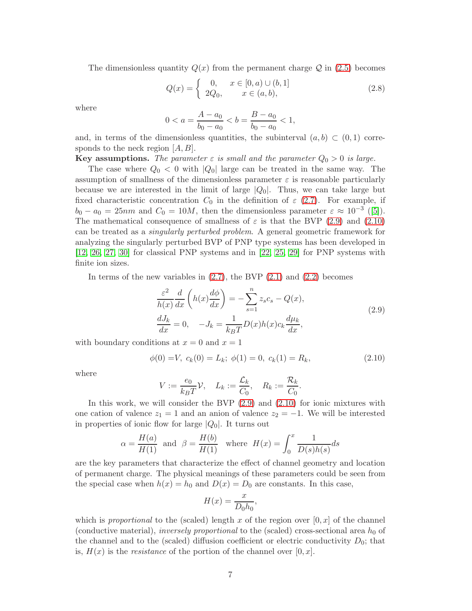The dimensionless quantity  $Q(x)$  from the permanent charge  $Q$  in [\(2.5\)](#page-5-1) becomes

<span id="page-6-0"></span>
$$
Q(x) = \begin{cases} 0, & x \in [0, a) \cup (b, 1] \\ 2Q_0, & x \in (a, b), \end{cases}
$$
 (2.8)

where

$$
0 < a = \frac{A - a_0}{b_0 - a_0} < b = \frac{B - a_0}{b_0 - a_0} < 1,
$$

and, in terms of the dimensionless quantities, the subinterval  $(a, b) \subset (0, 1)$  corresponds to the neck region  $[A, B]$ .

**Key assumptions.** The parameter  $\varepsilon$  is small and the parameter  $Q_0 > 0$  is large.

The case where  $Q_0 < 0$  with  $|Q_0|$  large can be treated in the same way. The assumption of smallness of the dimensionless parameter  $\varepsilon$  is reasonable particularly because we are interested in the limit of large  $|Q_0|$ . Thus, we can take large but fixed characteristic concentration  $C_0$  in the definition of  $\varepsilon$  [\(2.7\)](#page-5-0). For example, if  $b_0 - a_0 = 25nm$  and  $C_0 = 10M$ , then the dimensionless parameter  $\varepsilon \approx 10^{-3}$  ([\[5\]](#page-23-8)). The mathematical consequence of smallness of  $\varepsilon$  is that the BVP [\(2.9\)](#page-6-1) and [\(2.10\)](#page-6-2) can be treated as a singularly perturbed problem. A general geometric framework for analyzing the singularly perturbed BVP of PNP type systems has been developed in [\[12,](#page-24-10) [26,](#page-25-12) [27,](#page-25-13) [30\]](#page-25-14) for classical PNP systems and in [\[22,](#page-24-13) [25,](#page-25-11) [29\]](#page-25-15) for PNP systems with finite ion sizes.

In terms of the new variables in  $(2.7)$ , the BVP  $(2.1)$  and  $(2.2)$  becomes

<span id="page-6-1"></span>
$$
\frac{\varepsilon^2}{h(x)}\frac{d}{dx}\left(h(x)\frac{d\phi}{dx}\right) = -\sum_{s=1}^n z_s c_s - Q(x),
$$
\n
$$
\frac{dJ_k}{dx} = 0, \quad -J_k = \frac{1}{k_B T}D(x)h(x)c_k\frac{d\mu_k}{dx},
$$
\n(2.9)

with boundary conditions at  $x = 0$  and  $x = 1$ 

$$
\phi(0) = V, \ c_k(0) = L_k; \ \phi(1) = 0, \ c_k(1) = R_k,\tag{2.10}
$$

where

<span id="page-6-2"></span>
$$
V := \frac{e_0}{k_B T} \mathcal{V}, \quad L_k := \frac{\mathcal{L}_k}{C_0}, \quad R_k := \frac{\mathcal{R}_k}{C_0}.
$$

In this work, we will consider the BVP [\(2.9\)](#page-6-1) and [\(2.10\)](#page-6-2) for ionic mixtures with one cation of valence  $z_1 = 1$  and an anion of valence  $z_2 = -1$ . We will be interested in properties of ionic flow for large  $|Q_0|$ . It turns out

$$
\alpha = \frac{H(a)}{H(1)}
$$
 and  $\beta = \frac{H(b)}{H(1)}$  where  $H(x) = \int_0^x \frac{1}{D(s)h(s)}ds$ 

are the key parameters that characterize the effect of channel geometry and location of permanent charge. The physical meanings of these parameters could be seen from the special case when  $h(x) = h_0$  and  $D(x) = D_0$  are constants. In this case,

$$
H(x) = \frac{x}{D_0 h_0},
$$

which is proportional to the (scaled) length x of the region over  $[0, x]$  of the channel (conductive material), *inversely proportional* to the (scaled) cross-sectional area  $h_0$  of the channel and to the (scaled) diffusion coefficient or electric conductivity  $D_0$ ; that is,  $H(x)$  is the *resistance* of the portion of the channel over [0, x].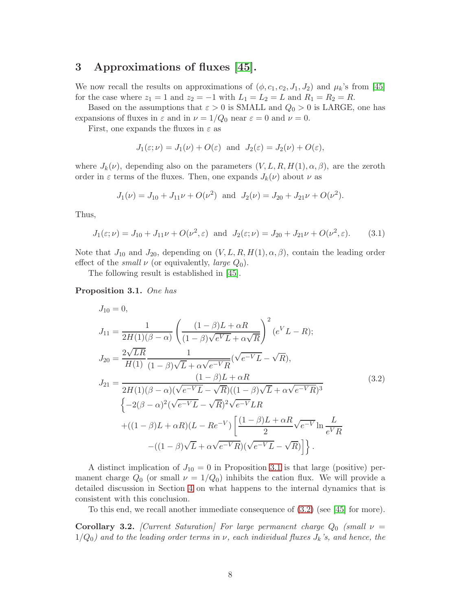# <span id="page-7-0"></span>3 Approximations of fluxes [\[45\]](#page-26-5).

We now recall the results on approximations of  $(\phi, c_1, c_2, J_1, J_2)$  and  $\mu_k$ 's from [\[45\]](#page-26-5) for the case where  $z_1 = 1$  and  $z_2 = -1$  with  $L_1 = L_2 = L$  and  $R_1 = R_2 = R$ .

Based on the assumptions that  $\varepsilon > 0$  is SMALL and  $Q_0 > 0$  is LARGE, one has expansions of fluxes in  $\varepsilon$  and in  $\nu = 1/Q_0$  near  $\varepsilon = 0$  and  $\nu = 0$ .

First, one expands the fluxes in  $\varepsilon$  as

$$
J_1(\varepsilon;\nu) = J_1(\nu) + O(\varepsilon)
$$
 and  $J_2(\varepsilon) = J_2(\nu) + O(\varepsilon)$ ,

where  $J_k(\nu)$ , depending also on the parameters  $(V, L, R, H(1), \alpha, \beta)$ , are the zeroth order in  $\varepsilon$  terms of the fluxes. Then, one expands  $J_k(\nu)$  about  $\nu$  as

$$
J_1(\nu) = J_{10} + J_{11}\nu + O(\nu^2)
$$
 and  $J_2(\nu) = J_{20} + J_{21}\nu + O(\nu^2)$ .

Thus,

$$
J_1(\varepsilon; \nu) = J_{10} + J_{11}\nu + O(\nu^2, \varepsilon) \text{ and } J_2(\varepsilon; \nu) = J_{20} + J_{21}\nu + O(\nu^2, \varepsilon). \tag{3.1}
$$

Note that  $J_{10}$  and  $J_{20}$ , depending on  $(V, L, R, H(1), \alpha, \beta)$ , contain the leading order effect of the *small*  $\nu$  (or equivalently, *large*  $Q_0$ ).

The following result is established in [\[45\]](#page-26-5).

<span id="page-7-1"></span>Proposition 3.1. One has

<span id="page-7-2"></span>
$$
J_{10} = 0,
$$
  
\n
$$
J_{11} = \frac{1}{2H(1)(\beta - \alpha)} \left( \frac{(1 - \beta)L + \alpha R}{(1 - \beta)\sqrt{e^V L} + \alpha \sqrt{R}} \right)^2 (e^V L - R);
$$
  
\n
$$
J_{20} = \frac{2\sqrt{LR}}{H(1)} \frac{1}{(1 - \beta)\sqrt{L} + \alpha\sqrt{e^{-V}R}} (\sqrt{e^{-V} L} - \sqrt{R}),
$$
  
\n
$$
J_{21} = \frac{(1 - \beta)L + \alpha R}{2H(1)(\beta - \alpha)(\sqrt{e^{-V} L} - \sqrt{R})((1 - \beta)\sqrt{L} + \alpha\sqrt{e^{-V} R})^3} \left\{-2(\beta - \alpha)^2(\sqrt{e^{-V} L} - \sqrt{R})^2\sqrt{e^{-V} LR} + ((1 - \beta)L + \alpha R)(L - Re^{-V}) \left[ \frac{(1 - \beta)L + \alpha R}{2} \sqrt{e^{-V} \ln \frac{L}{e^V R}} - ((1 - \beta)\sqrt{L} + \alpha \sqrt{e^{-V} R})(\sqrt{e^{-V} L} - \sqrt{R}) \right] \right\}.
$$
\n(3.2)

A distinct implication of  $J_{10} = 0$  in Proposition [3.1](#page-7-1) is that large (positive) permanent charge  $Q_0$  (or small  $\nu = 1/Q_0$ ) inhibits the cation flux. We will provide a detailed discussion in Section [4](#page-8-0) on what happens to the internal dynamics that is consistent with this conclusion.

To this end, we recall another immediate consequence of [\(3.2\)](#page-7-2) (see [\[45\]](#page-26-5) for more).

<span id="page-7-3"></span>**Corollary 3.2.** [Current Saturation] For large permanent charge  $Q_0$  (small  $\nu =$  $1/Q_0$ ) and to the leading order terms in  $\nu$ , each individual fluxes  $J_k$ 's, and hence, the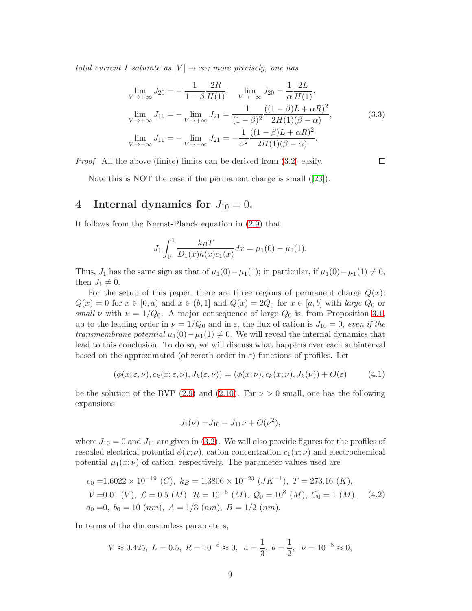total current I saturate as  $|V| \rightarrow \infty$ ; more precisely, one has

$$
\lim_{V \to +\infty} J_{20} = -\frac{1}{1-\beta} \frac{2R}{H(1)}, \quad \lim_{V \to -\infty} J_{20} = \frac{1}{\alpha} \frac{2L}{H(1)},
$$
\n
$$
\lim_{V \to +\infty} J_{11} = -\lim_{V \to +\infty} J_{21} = \frac{1}{(1-\beta)^2} \frac{((1-\beta)L + \alpha R)^2}{2H(1)(\beta - \alpha)},
$$
\n
$$
\lim_{V \to -\infty} J_{11} = -\lim_{V \to -\infty} J_{21} = -\frac{1}{\alpha^2} \frac{((1-\beta)L + \alpha R)^2}{2H(1)(\beta - \alpha)}.
$$
\n(3.3)

 $\Box$ 

Proof. All the above (finite) limits can be derived from [\(3.2\)](#page-7-2) easily.

Note this is NOT the case if the permanent charge is small ([\[23\]](#page-24-14)).

# <span id="page-8-0"></span>4 Internal dynamics for  $J_{10} = 0$ .

It follows from the Nernst-Planck equation in [\(2.9\)](#page-6-1) that

$$
J_1 \int_0^1 \frac{k_B T}{D_1(x)h(x)c_1(x)} dx = \mu_1(0) - \mu_1(1).
$$

Thus,  $J_1$  has the same sign as that of  $\mu_1(0)-\mu_1(1)$ ; in particular, if  $\mu_1(0)-\mu_1(1) \neq 0$ , then  $J_1 \neq 0$ .

For the setup of this paper, there are three regions of permanent charge  $Q(x)$ :  $Q(x) = 0$  for  $x \in [0, a)$  and  $x \in (b, 1]$  and  $Q(x) = 2Q_0$  for  $x \in [a, b]$  with large  $Q_0$  or small v with  $\nu = 1/Q_0$ . A major consequence of large  $Q_0$  is, from Proposition [3.1,](#page-7-1) up to the leading order in  $\nu = 1/Q_0$  and in  $\varepsilon$ , the flux of cation is  $J_{10} = 0$ , even if the transmembrane potential  $\mu_1(0) - \mu_1(1) \neq 0$ . We will reveal the internal dynamics that lead to this conclusion. To do so, we will discuss what happens over each subinterval based on the approximated (of zeroth order in  $\varepsilon$ ) functions of profiles. Let

$$
(\phi(x;\varepsilon,\nu),c_k(x;\varepsilon,\nu),J_k(\varepsilon,\nu))=(\phi(x;\nu),c_k(x;\nu),J_k(\nu))+O(\varepsilon) \qquad (4.1)
$$

be the solution of the BVP [\(2.9\)](#page-6-1) and [\(2.10\)](#page-6-2). For  $\nu > 0$  small, one has the following expansions

<span id="page-8-2"></span><span id="page-8-1"></span>
$$
J_1(\nu) = J_{10} + J_{11}\nu + O(\nu^2),
$$

where  $J_{10} = 0$  and  $J_{11}$  are given in [\(3.2\)](#page-7-2). We will also provide figures for the profiles of rescaled electrical potential  $\phi(x; \nu)$ , cation concentration  $c_1(x; \nu)$  and electrochemical potential  $\mu_1(x; \nu)$  of cation, respectively. The parameter values used are

$$
e_0 = 1.6022 \times 10^{-19} \ (C), \ k_B = 1.3806 \times 10^{-23} \ (JK^{-1}), \ T = 273.16 \ (K),
$$
  
\n
$$
\mathcal{V} = 0.01 \ (V), \ \mathcal{L} = 0.5 \ (M), \ \mathcal{R} = 10^{-5} \ (M), \ \mathcal{Q}_0 = 10^8 \ (M), \ C_0 = 1 \ (M),
$$
  
\n
$$
a_0 = 0, \ b_0 = 10 \ (nm), \ A = 1/3 \ (nm), \ B = 1/2 \ (nm).
$$
\n(4.2)

In terms of the dimensionless parameters,

$$
V \approx 0.425, L = 0.5, R = 10^{-5} \approx 0, a = \frac{1}{3}, b = \frac{1}{2}, \nu = 10^{-8} \approx 0,
$$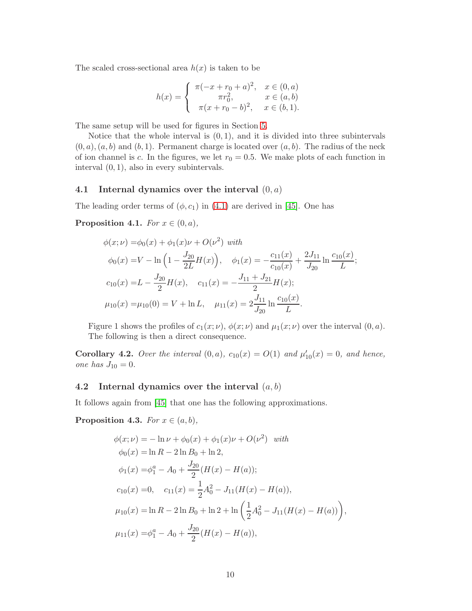The scaled cross-sectional area  $h(x)$  is taken to be

$$
h(x) = \begin{cases} \pi(-x+r_0+a)^2, & x \in (0,a) \\ \pi r_0^2, & x \in (a,b) \\ \pi(x+r_0-b)^2, & x \in (b,1). \end{cases}
$$

The same setup will be used for figures in Section [5.](#page-15-1)

Notice that the whole interval is  $(0, 1)$ , and it is divided into three subintervals  $(0, a), (a, b)$  and  $(b, 1)$ . Permanent charge is located over  $(a, b)$ . The radius of the neck of ion channel is c. In the figures, we let  $r_0 = 0.5$ . We make plots of each function in interval (0, 1), also in every subintervals.

### 4.1 Internal dynamics over the interval  $(0, a)$

The leading order terms of  $(\phi, c_1)$  in [\(4.1\)](#page-8-1) are derived in [\[45\]](#page-26-5). One has

Proposition 4.1. For  $x \in (0, a)$ ,

$$
\phi(x;\nu) = \phi_0(x) + \phi_1(x)\nu + O(\nu^2) \text{ with}
$$
  
\n
$$
\phi_0(x) = V - \ln\left(1 - \frac{J_{20}}{2L}H(x)\right), \quad \phi_1(x) = -\frac{c_{11}(x)}{c_{10}(x)} + \frac{2J_{11}}{J_{20}}\ln\frac{c_{10}(x)}{L};
$$
  
\n
$$
c_{10}(x) = L - \frac{J_{20}}{2}H(x), \quad c_{11}(x) = -\frac{J_{11} + J_{21}}{2}H(x);
$$
  
\n
$$
\mu_{10}(x) = \mu_{10}(0) = V + \ln L, \quad \mu_{11}(x) = 2\frac{J_{11}}{J_{20}}\ln\frac{c_{10}(x)}{L}.
$$

Figure 1 shows the profiles of  $c_1(x; \nu)$ ,  $\phi(x; \nu)$  and  $\mu_1(x; \nu)$  over the interval  $(0, a)$ . The following is then a direct consequence.

**Corollary 4.2.** Over the interval  $(0, a)$ ,  $c_{10}(x) = O(1)$  and  $\mu'_{10}(x) = 0$ , and hence, one has  $J_{10} = 0$ .

## 4.2 Internal dynamics over the interval  $(a, b)$

It follows again from [\[45\]](#page-26-5) that one has the following approximations.

<span id="page-9-0"></span>**Proposition 4.3.** For  $x \in (a, b)$ ,

$$
\phi(x; \nu) = -\ln \nu + \phi_0(x) + \phi_1(x)\nu + O(\nu^2) \quad with
$$
  
\n
$$
\phi_0(x) = \ln R - 2\ln B_0 + \ln 2,
$$
  
\n
$$
\phi_1(x) = \phi_1^a - A_0 + \frac{J_{20}}{2}(H(x) - H(a));
$$
  
\n
$$
c_{10}(x) = 0, \quad c_{11}(x) = \frac{1}{2}A_0^2 - J_{11}(H(x) - H(a)),
$$
  
\n
$$
\mu_{10}(x) = \ln R - 2\ln B_0 + \ln 2 + \ln \left(\frac{1}{2}A_0^2 - J_{11}(H(x) - H(a))\right),
$$
  
\n
$$
\mu_{11}(x) = \phi_1^a - A_0 + \frac{J_{20}}{2}(H(x) - H(a)),
$$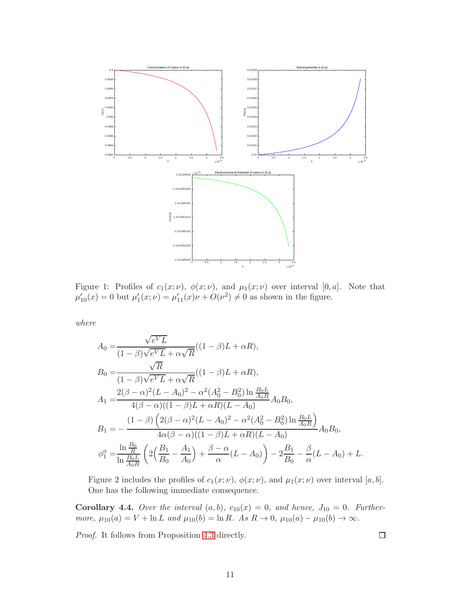

Figure 1: Profiles of  $c_1(x; \nu)$ ,  $\phi(x; \nu)$ , and  $\mu_1(x; \nu)$  over interval [0, a]. Note that  $\mu'_{10}(x) = 0$  but  $\mu'_{1}(x; \nu) = \mu'_{11}(x)\nu + O(\nu^{2}) \neq 0$  as shown in the figure.

where

$$
A_0 = \frac{\sqrt{e^V L}}{(1 - \beta)\sqrt{e^V L} + \alpha\sqrt{R}}((1 - \beta)L + \alpha R),
$$
  
\n
$$
B_0 = \frac{\sqrt{R}}{(1 - \beta)\sqrt{e^V L} + \alpha\sqrt{R}}((1 - \beta)L + \alpha R),
$$
  
\n
$$
A_1 = \frac{2(\beta - \alpha)^2 (L - A_0)^2 - \alpha^2 (A_0^2 - B_0^2) \ln \frac{B_0 L}{A_0 R}}{4(\beta - \alpha)((1 - \beta)L + \alpha R)(L - A_0)} A_0 B_0,
$$
  
\n
$$
B_1 = -\frac{(1 - \beta) (2(\beta - \alpha)^2 (L - A_0)^2 - \alpha^2 (A_0^2 - B_0^2) \ln \frac{B_0 L}{A_0 R})}{4\alpha(\beta - \alpha)((1 - \beta)L + \alpha R)(L - A_0)} A_0 B_0,
$$
  
\n
$$
\phi_1^a = \frac{\ln \frac{B_0}{R}}{\ln \frac{B_0 L}{A_0 R}} \left( 2\left(\frac{B_1}{B_0} - \frac{A_1}{A_0}\right) + \frac{\beta - \alpha}{\alpha}(L - A_0) \right) - 2\frac{B_1}{B_0} - \frac{\beta}{\alpha}(L - A_0) + L.
$$

Figure 2 includes the profiles of  $c_1(x; \nu)$ ,  $\phi(x; \nu)$ , and  $\mu_1(x; \nu)$  over interval [a, b]. One has the following immediate consequence.

**Corollary 4.4.** Over the interval  $(a, b)$ ,  $c_{10}(x) = 0$ , and hence,  $J_{10} = 0$ . Furthermore,  $\mu_{10}(a) = V + \ln L$  and  $\mu_{10}(b) = \ln R$ . As  $R \to 0$ ,  $\mu_{10}(a) - \mu_{10}(b) \to \infty$ .

Proof. It follows from Proposition [4.3](#page-9-0) directly.

 $\Box$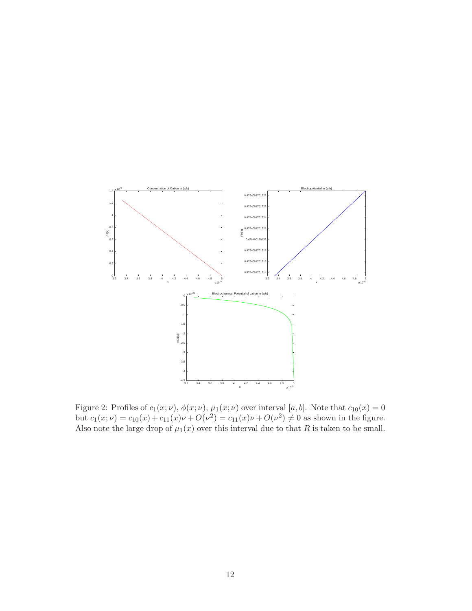

Figure 2: Profiles of  $c_1(x; \nu)$ ,  $\phi(x; \nu)$ ,  $\mu_1(x; \nu)$  over interval [a, b]. Note that  $c_{10}(x) = 0$ but  $c_1(x; \nu) = c_{10}(x) + c_{11}(x)\nu + O(\nu^2) = c_{11}(x)\nu + O(\nu^2) \neq 0$  as shown in the figure. Also note the large drop of  $\mu_1(x)$  over this interval due to that R is taken to be small.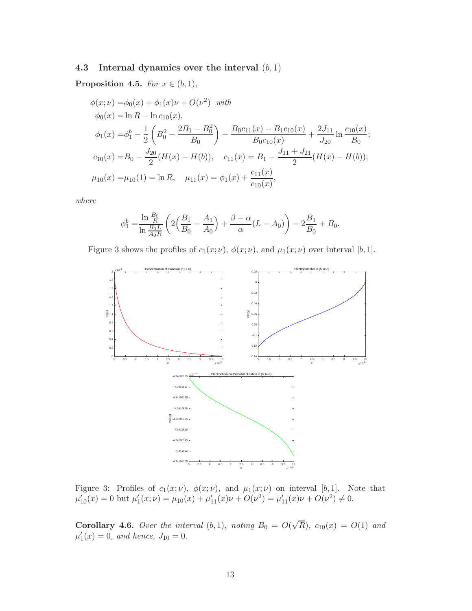# 4.3 Internal dynamics over the interval  $(b, 1)$

**Proposition 4.5.** For  $x \in (b, 1)$ ,

$$
\phi(x; \nu) = \phi_0(x) + \phi_1(x)\nu + O(\nu^2) \quad \text{with}
$$
  
\n
$$
\phi_0(x) = \ln R - \ln c_{10}(x),
$$
  
\n
$$
\phi_1(x) = \phi_1^b - \frac{1}{2} \left( B_0^2 - \frac{2B_1 - B_0^2}{B_0} \right) - \frac{B_0 c_{11}(x) - B_1 c_{10}(x)}{B_0 c_{10}(x)} + \frac{2J_{11}}{J_{20}} \ln \frac{c_{10}(x)}{B_0};
$$
  
\n
$$
c_{10}(x) = B_0 - \frac{J_{20}}{2} (H(x) - H(b)), \quad c_{11}(x) = B_1 - \frac{J_{11} + J_{21}}{2} (H(x) - H(b));
$$
  
\n
$$
\mu_{10}(x) = \mu_{10}(1) = \ln R, \quad \mu_{11}(x) = \phi_1(x) + \frac{c_{11}(x)}{c_{10}(x)},
$$

where

$$
\phi_1^b = \frac{\ln \frac{B_0}{R}}{\ln \frac{B_0 L}{A_0 R}} \left( 2 \left( \frac{B_1}{B_0} - \frac{A_1}{A_0} \right) + \frac{\beta - \alpha}{\alpha} (L - A_0) \right) - 2 \frac{B_1}{B_0} + B_0.
$$

Figure 3 shows the profiles of  $c_1(x; \nu)$ ,  $\phi(x; \nu)$ , and  $\mu_1(x; \nu)$  over interval [b, 1].



Figure 3: Profiles of  $c_1(x; \nu)$ ,  $\phi(x; \nu)$ , and  $\mu_1(x; \nu)$  on interval [b, 1]. Note that  $\mu'_{10}(x) = 0$  but  $\mu'_{1}(x; \nu) = \mu_{10}(x) + \mu'_{11}(x)\nu + O(\nu^{2}) = \mu'_{11}(x)\nu + O(\nu^{2}) \neq 0.$ 

**Corollary 4.6.** Over the interval  $(b, 1)$ , noting  $B_0 = O(\sqrt{R})$ ,  $c_{10}(x) = O(1)$  and  $\mu'_1(x) = 0$ , and hence,  $J_{10} = 0$ .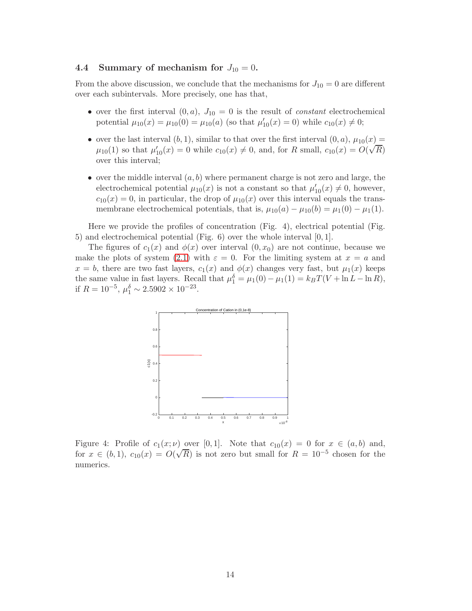## 4.4 Summary of mechanism for  $J_{10} = 0$ .

From the above discussion, we conclude that the mechanisms for  $J_{10} = 0$  are different over each subintervals. More precisely, one has that,

- over the first interval  $(0, a)$ ,  $J_{10} = 0$  is the result of *constant* electrochemical potential  $\mu_{10}(x) = \mu_{10}(0) = \mu_{10}(a)$  (so that  $\mu'_{10}(x) = 0$ ) while  $c_{10}(x) \neq 0$ ;
- over the last interval  $(b, 1)$ , similar to that over the first interval  $(0, a)$ ,  $\mu_{10}(x) =$  $\mu_{10}(1)$  so that  $\mu'_{10}(x) = 0$  while  $c_{10}(x) \neq 0$ , and, for R small,  $c_{10}(x) = O(\sqrt{R})$ over this interval;
- over the middle interval  $(a, b)$  where permanent charge is not zero and large, the electrochemical potential  $\mu_{10}(x)$  is not a constant so that  $\mu'_{10}(x) \neq 0$ , however,  $c_{10}(x) = 0$ , in particular, the drop of  $\mu_{10}(x)$  over this interval equals the transmembrane electrochemical potentials, that is,  $\mu_{10}(a) - \mu_{10}(b) = \mu_1(0) - \mu_1(1)$ .

Here we provide the profiles of concentration (Fig. 4), electrical potential (Fig. 5) and electrochemical potential (Fig. 6) over the whole interval [0, 1].

The figures of  $c_1(x)$  and  $\phi(x)$  over interval  $(0, x_0)$  are not continue, because we make the plots of system [\(2.1\)](#page-3-1) with  $\varepsilon = 0$ . For the limiting system at  $x = a$  and  $x = b$ , there are two fast layers,  $c_1(x)$  and  $\phi(x)$  changes very fast, but  $\mu_1(x)$  keeps the same value in fast layers. Recall that  $\mu_1^{\delta} = \mu_1(0) - \mu_1(1) = k_B T(V + \ln L - \ln R)$ , if  $R = 10^{-5}$ ,  $\mu_1^{\delta} \sim 2.5902 \times 10^{-23}$ .



Figure 4: Profile of  $c_1(x; \nu)$  over [0,1]. Note that  $c_{10}(x) = 0$  for  $x \in (a, b)$  and, for  $x \in (b, 1)$ ,  $c_{10}(x) = O(\sqrt{R})$  is not zero but small for  $R = 10^{-5}$  chosen for the numerics.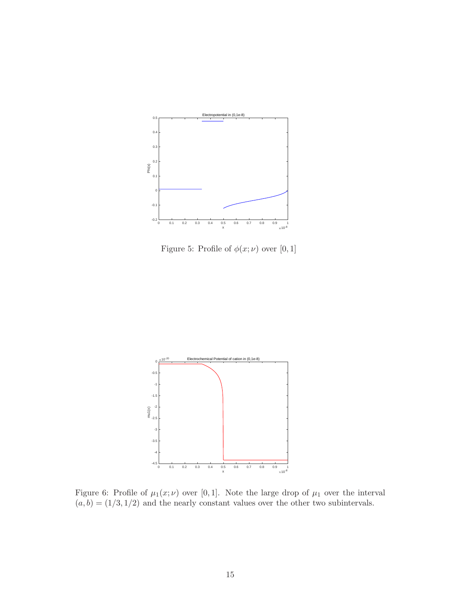

Figure 5: Profile of  $\phi(x; \nu)$  over [0, 1]



Figure 6: Profile of  $\mu_1(x;\nu)$  over [0,1]. Note the large drop of  $\mu_1$  over the interval  $(a, b) = (1/3, 1/2)$  and the nearly constant values over the other two subintervals.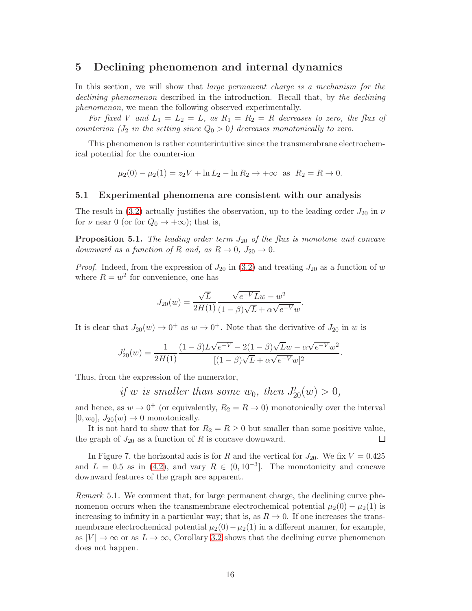# <span id="page-15-1"></span>5 Declining phenomenon and internal dynamics

In this section, we will show that *large permanent charge is a mechanism for the* declining phenomenon described in the introduction. Recall that, by the declining phenomenon, we mean the following observed experimentally.

For fixed V and  $L_1 = L_2 = L$ , as  $R_1 = R_2 = R$  decreases to zero, the flux of counterion  $(J_2$  in the setting since  $Q_0 > 0$ ) decreases monotonically to zero.

This phenomenon is rather counterintuitive since the transmembrane electrochemical potential for the counter-ion

$$
\mu_2(0) - \mu_2(1) = z_2 V + \ln L_2 - \ln R_2 \to +\infty \text{ as } R_2 = R \to 0.
$$

### 5.1 Experimental phenomena are consistent with our analysis

The result in [\(3.2\)](#page-7-2) actually justifies the observation, up to the leading order  $J_{20}$  in  $\nu$ for  $\nu$  near 0 (or for  $Q_0 \rightarrow +\infty$ ); that is,

**Proposition 5.1.** The leading order term  $J_{20}$  of the flux is monotone and concave downward as a function of R and, as  $R \to 0$ ,  $J_{20} \to 0$ .

*Proof.* Indeed, from the expression of  $J_{20}$  in [\(3.2\)](#page-7-2) and treating  $J_{20}$  as a function of w where  $R = w^2$  for convenience, one has

$$
J_{20}(w) = \frac{\sqrt{L}}{2H(1)} \frac{\sqrt{e^{-V}L}w - w^2}{(1 - \beta)\sqrt{L} + \alpha\sqrt{e^{-V}}w}.
$$

It is clear that  $J_{20}(w) \to 0^+$  as  $w \to 0^+$ . Note that the derivative of  $J_{20}$  in w is

$$
J'_{20}(w) = \frac{1}{2H(1)} \frac{(1-\beta)L\sqrt{e^{-V}} - 2(1-\beta)\sqrt{L}w - \alpha\sqrt{e^{-V}}w^2}{[(1-\beta)\sqrt{L} + \alpha\sqrt{e^{-V}}w]^2}.
$$

Thus, from the expression of the numerator,

if w is smaller than some  $w_0$ , then  $J'_{20}(w) > 0$ ,

and hence, as  $w \to 0^+$  (or equivalently,  $R_2 = R \to 0$ ) monotonically over the interval  $[0, w_0], J_{20}(w) \to 0$  monotonically.

It is not hard to show that for  $R_2 = R \ge 0$  but smaller than some positive value, graph of  $J_{20}$  as a function of R is concave downward. the graph of  $J_{20}$  as a function of R is concave downward.

In Figure 7, the horizontal axis is for R and the vertical for  $J_{20}$ . We fix  $V = 0.425$ and  $L = 0.5$  as in [\(4.2\)](#page-8-2), and vary  $R \in (0, 10^{-3}]$ . The monotonicity and concave downward features of the graph are apparent.

<span id="page-15-0"></span>Remark 5.1. We comment that, for large permanent charge, the declining curve phenomenon occurs when the transmembrane electrochemical potential  $\mu_2(0) - \mu_2(1)$  is increasing to infinity in a particular way; that is, as  $R \to 0$ . If one increases the transmembrane electrochemical potential  $\mu_2(0)-\mu_2(1)$  in a different manner, for example, as  $|V| \to \infty$  or as  $L \to \infty$ , Corollary [3.2](#page-7-3) shows that the declining curve phenomenon does not happen.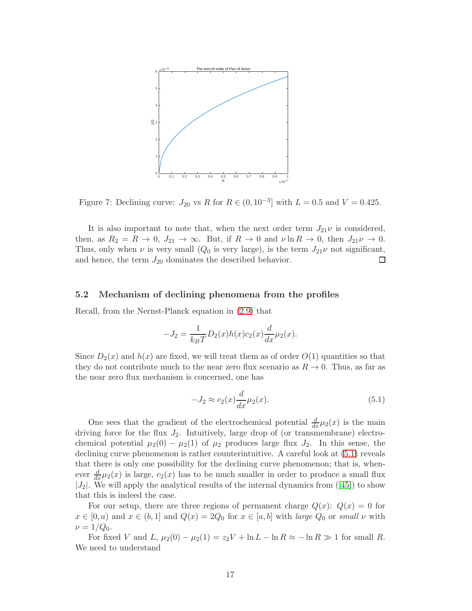

Figure 7: Declining curve:  $J_{20}$  vs R for  $R \in (0, 10^{-3}]$  with  $L = 0.5$  and  $V = 0.425$ .

It is also important to note that, when the next order term  $J_{21}\nu$  is considered, then, as  $R_2 = R \rightarrow 0$ ,  $J_{21} \rightarrow \infty$ . But, if  $R \rightarrow 0$  and  $\nu \ln R \rightarrow 0$ , then  $J_{21}\nu \rightarrow 0$ . Thus, only when  $\nu$  is very small  $(Q_0$  is very large), is the term  $J_{21}\nu$  not significant, and hence, the term  $J_{20}$  dominates the described behavior.  $\Box$ 

### 5.2 Mechanism of declining phenomena from the profiles

Recall, from the Nernst-Planck equation in [\(2.9\)](#page-6-1) that

$$
-J_2 = \frac{1}{k_B T} D_2(x) h(x) c_2(x) \frac{d}{dx} \mu_2(x).
$$

Since  $D_2(x)$  and  $h(x)$  are fixed, we will treat them as of order  $O(1)$  quantities so that they do not contribute much to the near zero flux scenario as  $R \to 0$ . Thus, as far as the near zero flux mechanism is concerned, one has

<span id="page-16-0"></span>
$$
-J_2 \approx c_2(x)\frac{d}{dx}\mu_2(x). \tag{5.1}
$$

One sees that the gradient of the electrochemical potential  $\frac{d}{dx}\mu_2(x)$  is the main driving force for the flux  $J_2$ . Intuitively, large drop of (or transmembrane) electrochemical potential  $\mu_2(0) - \mu_2(1)$  of  $\mu_2$  produces large flux  $J_2$ . In this sense, the declining curve phenomenon is rather counterintuitive. A careful look at [\(5.1\)](#page-16-0) reveals that there is only one possibility for the declining curve phenomenon; that is, whenever  $\frac{d}{dx}\mu_2(x)$  is large,  $c_2(x)$  has to be much smaller in order to produce a small flux  $|J_2|$ . We will apply the analytical results of the internal dynamics from  $(145)$  to show that this is indeed the case.

For our setup, there are three regions of permanent charge  $Q(x)$ :  $Q(x) = 0$  for  $x \in [0, a)$  and  $x \in (b, 1]$  and  $Q(x) = 2Q_0$  for  $x \in [a, b]$  with large  $Q_0$  or small  $\nu$  with  $\nu = 1/Q_0$ .

For fixed V and L,  $\mu_2(0) - \mu_2(1) = z_2V + \ln L - \ln R \approx -\ln R \gg 1$  for small R. We need to understand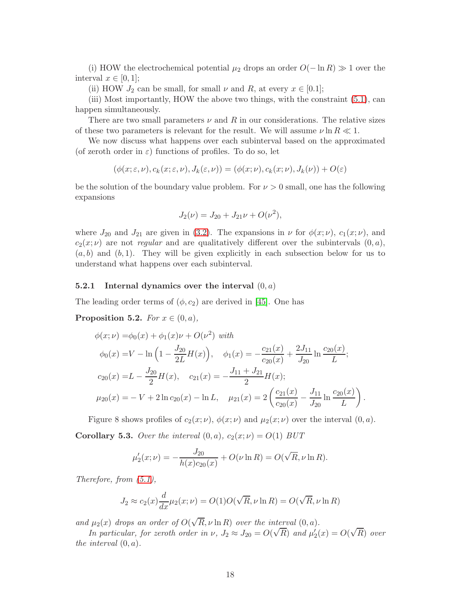(i) HOW the electrochemical potential  $\mu_2$  drops an order  $O(-\ln R) \gg 1$  over the interval  $x \in [0,1]$ ;

(ii) HOW  $J_2$  can be small, for small  $\nu$  and  $R$ , at every  $x \in [0.1]$ ;

(iii) Most importantly, HOW the above two things, with the constraint [\(5.1\)](#page-16-0), can happen simultaneously.

There are two small parameters  $\nu$  and R in our considerations. The relative sizes of these two parameters is relevant for the result. We will assume  $\nu \ln R \ll 1$ .

We now discuss what happens over each subinterval based on the approximated (of zeroth order in  $\varepsilon$ ) functions of profiles. To do so, let

$$
(\phi(x;\varepsilon,\nu),c_k(x;\varepsilon,\nu),J_k(\varepsilon,\nu))=(\phi(x;\nu),c_k(x;\nu),J_k(\nu))+O(\varepsilon)
$$

be the solution of the boundary value problem. For  $\nu > 0$  small, one has the following expansions

$$
J_2(\nu) = J_{20} + J_{21}\nu + O(\nu^2),
$$

where  $J_{20}$  and  $J_{21}$  are given in [\(3.2\)](#page-7-2). The expansions in  $\nu$  for  $\phi(x;\nu)$ ,  $c_1(x;\nu)$ , and  $c_2(x; \nu)$  are not *regular* and are qualitatively different over the subintervals  $(0, a)$ ,  $(a, b)$  and  $(b, 1)$ . They will be given explicitly in each subsection below for us to understand what happens over each subinterval.

### **5.2.1** Internal dynamics over the interval  $(0, a)$

The leading order terms of  $(\phi, c_2)$  are derived in [\[45\]](#page-26-5). One has

**Proposition 5.2.** For  $x \in (0, a)$ ,

$$
\phi(x;\nu) = \phi_0(x) + \phi_1(x)\nu + O(\nu^2) \text{ with}
$$
  
\n
$$
\phi_0(x) = V - \ln\left(1 - \frac{J_{20}}{2L}H(x)\right), \quad \phi_1(x) = -\frac{c_{21}(x)}{c_{20}(x)} + \frac{2J_{11}}{J_{20}}\ln\frac{c_{20}(x)}{L};
$$
  
\n
$$
c_{20}(x) = L - \frac{J_{20}}{2}H(x), \quad c_{21}(x) = -\frac{J_{11} + J_{21}}{2}H(x);
$$
  
\n
$$
\mu_{20}(x) = -V + 2\ln c_{20}(x) - \ln L, \quad \mu_{21}(x) = 2\left(\frac{c_{21}(x)}{c_{20}(x)} - \frac{J_{11}}{J_{20}}\ln\frac{c_{20}(x)}{L}\right).
$$

Figure 8 shows profiles of  $c_2(x; \nu)$ ,  $\phi(x; \nu)$  and  $\mu_2(x; \nu)$  over the interval  $(0, a)$ . **Corollary 5.3.** Over the interval  $(0, a)$ ,  $c_2(x; \nu) = O(1)$  BUT

$$
\mu'_2(x;\nu) = -\frac{J_{20}}{h(x)c_{20}(x)} + O(\nu \ln R) = O(\sqrt{R}, \nu \ln R).
$$

Therefore, from [\(5.1\)](#page-16-0),

$$
J_2 \approx c_2(x) \frac{d}{dx} \mu_2(x; \nu) = O(1)O(\sqrt{R}, \nu \ln R) = O(\sqrt{R}, \nu \ln R)
$$

and  $\mu_2(x)$  drops an order of  $O(\sqrt{R}, \nu \ln R)$  over the interval  $(0, a)$ .

In particular, for zeroth order in  $\nu$ ,  $J_2 \approx J_{20} = O(\sqrt{R})$  and  $\mu'_2(x) = O(\sqrt{R})$  over the interval  $(0, a)$ .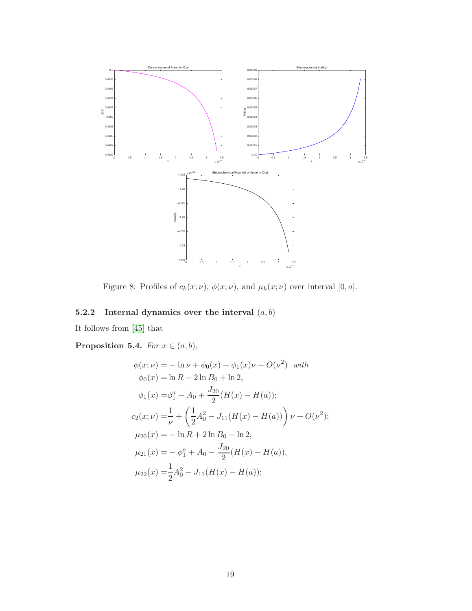

Figure 8: Profiles of  $c_k(x; \nu)$ ,  $\phi(x; \nu)$ , and  $\mu_k(x; \nu)$  over interval  $[0, a]$ .

# 5.2.2 Internal dynamics over the interval  $(a, b)$

It follows from [\[45\]](#page-26-5) that

Proposition 5.4. For  $x \in (a, b)$ ,

$$
\phi(x; \nu) = -\ln \nu + \phi_0(x) + \phi_1(x)\nu + O(\nu^2) \quad with
$$
  
\n
$$
\phi_0(x) = \ln R - 2\ln B_0 + \ln 2,
$$
  
\n
$$
\phi_1(x) = \phi_1^a - A_0 + \frac{J_{20}}{2}(H(x) - H(a));
$$
  
\n
$$
c_2(x; \nu) = \frac{1}{\nu} + \left(\frac{1}{2}A_0^2 - J_{11}(H(x) - H(a))\right)\nu + O(\nu^2);
$$
  
\n
$$
\mu_{20}(x) = -\ln R + 2\ln B_0 - \ln 2,
$$
  
\n
$$
\mu_{21}(x) = -\phi_1^a + A_0 - \frac{J_{20}}{2}(H(x) - H(a)),
$$
  
\n
$$
\mu_{22}(x) = \frac{1}{2}A_0^2 - J_{11}(H(x) - H(a));
$$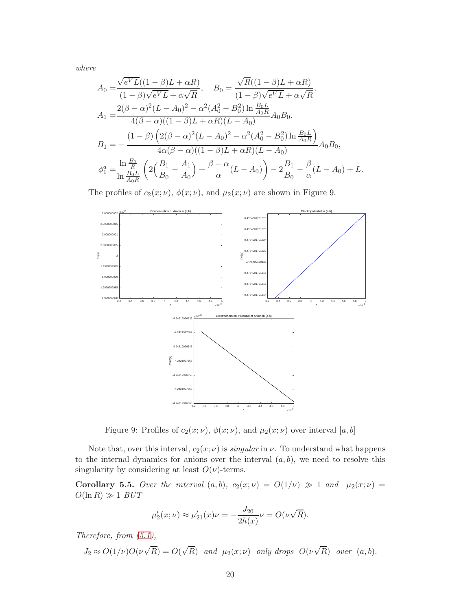where

$$
A_0 = \frac{\sqrt{eV}L((1-\beta)L+\alpha R)}{(1-\beta)\sqrt{eV}L+\alpha\sqrt{R}}, \qquad B_0 = \frac{\sqrt{R}((1-\beta)L+\alpha R)}{(1-\beta)\sqrt{eV}L+\alpha\sqrt{R}},
$$
  
\n
$$
A_1 = \frac{2(\beta-\alpha)^2(L-A_0)^2-\alpha^2(A_0^2-B_0^2)\ln\frac{B_0L}{A_0R}}{4(\beta-\alpha)((1-\beta)L+\alpha R)(L-A_0)}A_0B_0,
$$
  
\n
$$
B_1 = -\frac{(1-\beta)\left(2(\beta-\alpha)^2(L-A_0)^2-\alpha^2(A_0^2-B_0^2)\ln\frac{B_0L}{A_0R}\right)}{4\alpha(\beta-\alpha)((1-\beta)L+\alpha R)(L-A_0)}A_0B_0,
$$
  
\n
$$
\phi_1^a = \frac{\ln\frac{B_0}{R}}{\ln\frac{B_0L}{A_0R}}\left(2\left(\frac{B_1}{B_0}-\frac{A_1}{A_0}\right)+\frac{\beta-\alpha}{\alpha}(L-A_0)\right)-2\frac{B_1}{B_0}-\frac{\beta}{\alpha}(L-A_0)+L.
$$

The profiles of  $c_2(x; \nu)$ ,  $\phi(x; \nu)$ , and  $\mu_2(x; \nu)$  are shown in Figure 9.



Figure 9: Profiles of  $c_2(x; \nu)$ ,  $\phi(x; \nu)$ , and  $\mu_2(x; \nu)$  over interval [a, b]

Note that, over this interval,  $c_2(x; \nu)$  is *singular* in  $\nu$ . To understand what happens to the internal dynamics for anions over the interval  $(a, b)$ , we need to resolve this singularity by considering at least  $O(\nu)$ -terms.

Corollary 5.5. Over the interval  $(a, b)$ ,  $c_2(x; \nu) = O(1/\nu) \gg 1$  and  $\mu_2(x; \nu) =$  $O(\ln R) \gg 1$  BUT

$$
\mu'_2(x;\nu) \approx \mu'_{21}(x)\nu = -\frac{J_{20}}{2h(x)}\nu = O(\nu\sqrt{R}).
$$

Therefore, from [\(5.1\)](#page-16-0),

$$
J_2 \approx O(1/\nu)O(\nu\sqrt{R}) = O(\sqrt{R}) \text{ and } \mu_2(x;\nu) \text{ only drops } O(\nu\sqrt{R}) \text{ over } (a,b).
$$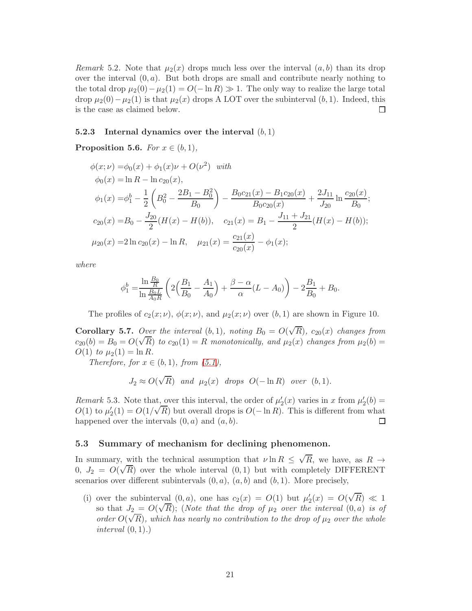Remark 5.2. Note that  $\mu_2(x)$  drops much less over the interval  $(a, b)$  than its drop over the interval  $(0, a)$ . But both drops are small and contribute nearly nothing to the total drop  $\mu_2(0) - \mu_2(1) = O(-\ln R) \gg 1$ . The only way to realize the large total drop  $\mu_2(0) - \mu_2(1)$  is that  $\mu_2(x)$  drops A LOT over the subinterval  $(b, 1)$ . Indeed, this is the case as claimed below. is the case as claimed below.

#### 5.2.3 Internal dynamics over the interval  $(b, 1)$

# **Proposition 5.6.** For  $x \in (b, 1)$ ,

$$
\phi(x; \nu) = \phi_0(x) + \phi_1(x)\nu + O(\nu^2) \quad with
$$
  
\n
$$
\phi_0(x) = \ln R - \ln c_{20}(x),
$$
  
\n
$$
\phi_1(x) = \phi_1^b - \frac{1}{2} \left( B_0^2 - \frac{2B_1 - B_0^2}{B_0} \right) - \frac{B_0 c_{21}(x) - B_1 c_{20}(x)}{B_0 c_{20}(x)} + \frac{2J_{11}}{J_{20}} \ln \frac{c_{20}(x)}{B_0};
$$
  
\n
$$
c_{20}(x) = B_0 - \frac{J_{20}}{2} (H(x) - H(b)), \quad c_{21}(x) = B_1 - \frac{J_{11} + J_{21}}{2} (H(x) - H(b));
$$
  
\n
$$
\mu_{20}(x) = 2 \ln c_{20}(x) - \ln R, \quad \mu_{21}(x) = \frac{c_{21}(x)}{c_{20}(x)} - \phi_1(x);
$$

where

$$
\phi_1^b = \frac{\ln \frac{B_0}{R}}{\ln \frac{B_0 L}{A_0 R}} \left( 2 \left( \frac{B_1}{B_0} - \frac{A_1}{A_0} \right) + \frac{\beta - \alpha}{\alpha} (L - A_0) \right) - 2 \frac{B_1}{B_0} + B_0.
$$

The profiles of  $c_2(x; \nu)$ ,  $\phi(x; \nu)$ , and  $\mu_2(x; \nu)$  over  $(b, 1)$  are shown in Figure 10.

**Corollary 5.7.** Over the interval  $(b,1)$ , noting  $B_0 = O(\sqrt{R})$ ,  $c_{20}(x)$  changes from  $c_{20}(b) = B_0 = O(\sqrt{R})$  to  $c_{20}(1) = R$  monotonically, and  $\mu_2(x)$  changes from  $\mu_2(b) =$  $O(1)$  to  $\mu_2(1) = \ln R$ .

Therefore, for  $x \in (b, 1)$ , from  $(5.1)$ ,

$$
J_2 \approx O(\sqrt{R}) \quad and \quad \mu_2(x) \quad drops \quad O(-\ln R) \quad over \quad (b, 1).
$$

<span id="page-20-0"></span>Remark 5.3. Note that, over this interval, the order of  $\mu'_2(x)$  varies in x from  $\mu'_2(b)$  =  $O(1)$  to  $\mu'_2(1) = O(1/\sqrt{R})$  but overall drops is  $O(-\ln R)$ . This is different from what happened over the intervals  $(0, a)$  and  $(a, b)$ .

#### 5.3 Summary of mechanism for declining phenomenon.

In summary, with the technical assumption that  $\nu \ln R \leq \sqrt{R}$ , we have, as  $R \to$  $0, J_2 = O(\sqrt{R})$  over the whole interval  $(0, 1)$  but with completely DIFFERENT scenarios over different subintervals  $(0, a)$ ,  $(a, b)$  and  $(b, 1)$ . More precisely,

(i) over the subinterval  $(0, a)$ , one has  $c_2(x) = O(1)$  but  $\mu'_2(x) = O(\sqrt{R}) \ll 1$ so that  $J_2 = O(\sqrt{R})$ ; (Note that the drop of  $\mu_2$  over the interval  $(0, a)$  is of order  $O(\sqrt{R})$ , which has nearly no contribution to the drop of  $\mu_2$  over the whole interval  $(0, 1)$ .)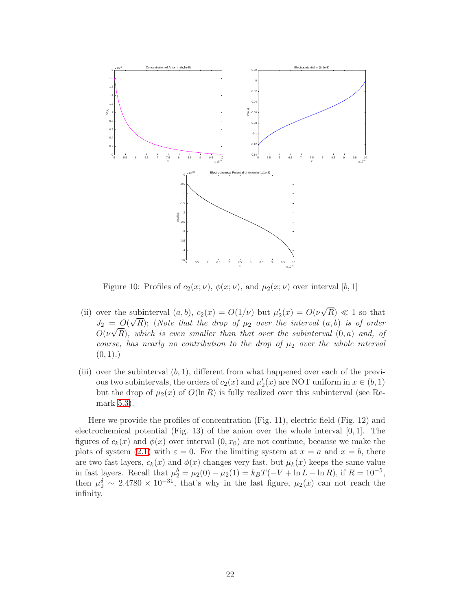

Figure 10: Profiles of  $c_2(x; \nu)$ ,  $\phi(x; \nu)$ , and  $\mu_2(x; \nu)$  over interval [b, 1]

- (ii) over the subinterval  $(a, b), c_2(x) = O(1/\nu)$  but  $\mu'_2(x) = O(\nu\sqrt{R}) \ll 1$  so that  $J_2 = O(\sqrt{R})$ ; (Note that the drop of  $\mu_2$  over the interval  $(a, b)$  is of order  $O(\nu\sqrt{R})$ , which is even smaller than that over the subinterval  $(0, a)$  and, of course, has nearly no contribution to the drop of  $\mu_2$  over the whole interval  $(0, 1).$
- (iii) over the subinterval  $(b, 1)$ , different from what happened over each of the previous two subintervals, the orders of  $c_2(x)$  and  $\mu'_2(x)$  are NOT uniform in  $x \in (b, 1)$ but the drop of  $\mu_2(x)$  of  $O(\ln R)$  is fully realized over this subinterval (see Remark [5.3\)](#page-20-0).

Here we provide the profiles of concentration (Fig. 11), electric field (Fig. 12) and electrochemical potential (Fig. 13) of the anion over the whole interval  $[0, 1]$ . The figures of  $c_k(x)$  and  $\phi(x)$  over interval  $(0, x_0)$  are not continue, because we make the plots of system [\(2.1\)](#page-3-1) with  $\varepsilon = 0$ . For the limiting system at  $x = a$  and  $x = b$ , there are two fast layers,  $c_k(x)$  and  $\phi(x)$  changes very fast, but  $\mu_k(x)$  keeps the same value in fast layers. Recall that  $\mu_2^{\delta} = \mu_2(0) - \mu_2(1) = k_B T(-V + \ln L - \ln R)$ , if  $R = 10^{-5}$ , then  $\mu_2^{\delta} \sim 2.4780 \times 10^{-31}$ , that's why in the last figure,  $\mu_2(x)$  can not reach the infinity.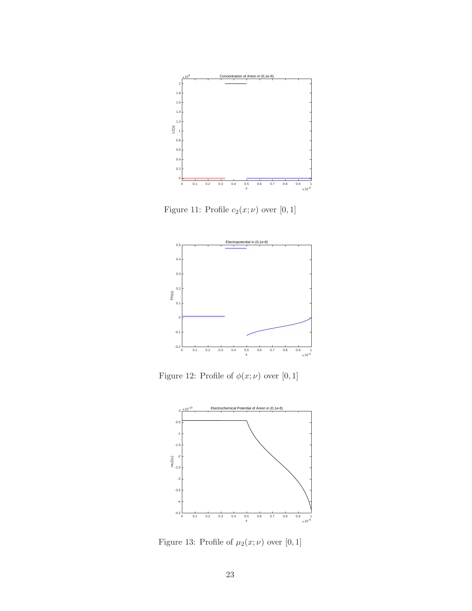

Figure 11: Profile  $c_2(x;\nu)$  over  $[0,1]$ 



Figure 12: Profile of  $\phi(x; \nu)$  over [0, 1]



Figure 13: Profile of  $\mu_2(x;\nu)$  over  $[0,1]$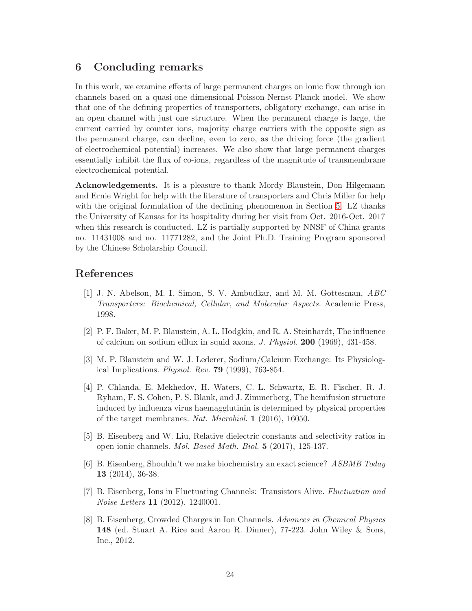# <span id="page-23-7"></span>6 Concluding remarks

In this work, we examine effects of large permanent charges on ionic flow through ion channels based on a quasi-one dimensional Poisson-Nernst-Planck model. We show that one of the defining properties of transporters, obligatory exchange, can arise in an open channel with just one structure. When the permanent charge is large, the current carried by counter ions, majority charge carriers with the opposite sign as the permanent charge, can decline, even to zero, as the driving force (the gradient of electrochemical potential) increases. We also show that large permanent charges essentially inhibit the flux of co-ions, regardless of the magnitude of transmembrane electrochemical potential.

Acknowledgements. It is a pleasure to thank Mordy Blaustein, Don Hilgemann and Ernie Wright for help with the literature of transporters and Chris Miller for help with the original formulation of the declining phenomenon in Section [5.](#page-15-1) LZ thanks the University of Kansas for its hospitality during her visit from Oct. 2016-Oct. 2017 when this research is conducted. LZ is partially supported by NNSF of China grants no. 11431008 and no. 11771282, and the Joint Ph.D. Training Program sponsored by the Chinese Scholarship Council.

# <span id="page-23-1"></span>References

- [1] J. N. Abelson, M. I. Simon, S. V. Ambudkar, and M. M. Gottesman, ABC Transporters: Biochemical, Cellular, and Molecular Aspects. Academic Press, 1998.
- <span id="page-23-2"></span>[2] P. F. Baker, M. P. Blaustein, A. L. Hodgkin, and R. A. Steinhardt, The influence of calcium on sodium efflux in squid axons. J. Physiol. 200 (1969), 431-458.
- <span id="page-23-3"></span>[3] M. P. Blaustein and W. J. Lederer, Sodium/Calcium Exchange: Its Physiological Implications. Physiol. Rev. 79 (1999), 763-854.
- <span id="page-23-4"></span>[4] P. Chlanda, E. Mekhedov, H. Waters, C. L. Schwartz, E. R. Fischer, R. J. Ryham, F. S. Cohen, P. S. Blank, and J. Zimmerberg, The hemifusion structure induced by influenza virus haemagglutinin is determined by physical properties of the target membranes. Nat. Microbiol. 1 (2016), 16050.
- <span id="page-23-8"></span>[5] B. Eisenberg and W. Liu, Relative dielectric constants and selectivity ratios in open ionic channels. Mol. Based Math. Biol. 5 (2017), 125-137.
- <span id="page-23-5"></span>[6] B. Eisenberg, Shouldn't we make biochemistry an exact science? ASBMB Today 13 (2014), 36-38.
- <span id="page-23-6"></span>[7] B. Eisenberg, Ions in Fluctuating Channels: Transistors Alive. Fluctuation and Noise Letters 11 (2012), 1240001.
- <span id="page-23-0"></span>[8] B. Eisenberg, Crowded Charges in Ion Channels. Advances in Chemical Physics 148 (ed. Stuart A. Rice and Aaron R. Dinner), 77-223. John Wiley & Sons, Inc., 2012.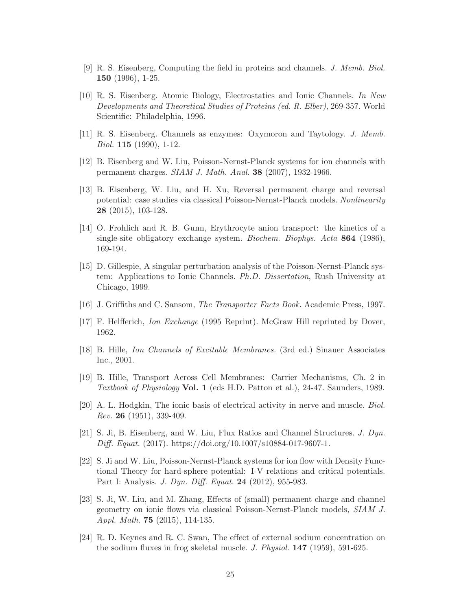- <span id="page-24-9"></span><span id="page-24-4"></span>[9] R. S. Eisenberg, Computing the field in proteins and channels. J. Memb. Biol. 150 (1996), 1-25.
- [10] R. S. Eisenberg. Atomic Biology, Electrostatics and Ionic Channels. In New Developments and Theoretical Studies of Proteins (ed. R. Elber), 269-357. World Scientific: Philadelphia, 1996.
- <span id="page-24-10"></span><span id="page-24-3"></span>[11] R. S. Eisenberg. Channels as enzymes: Oxymoron and Taytology. J. Memb. Biol. 115 (1990), 1-12.
- <span id="page-24-12"></span>[12] B. Eisenberg and W. Liu, Poisson-Nernst-Planck systems for ion channels with permanent charges. SIAM J. Math. Anal. 38 (2007), 1932-1966.
- [13] B. Eisenberg, W. Liu, and H. Xu, Reversal permanent charge and reversal potential: case studies via classical Poisson-Nernst-Planck models. Nonlinearity 28 (2015), 103-128.
- <span id="page-24-8"></span>[14] O. Frohlich and R. B. Gunn, Erythrocyte anion transport: the kinetics of a single-site obligatory exchange system. Biochem. Biophys. Acta 864 (1986), 169-194.
- <span id="page-24-15"></span>[15] D. Gillespie, A singular perturbation analysis of the Poisson-Nernst-Planck system: Applications to Ionic Channels. Ph.D. Dissertation, Rush University at Chicago, 1999.
- <span id="page-24-7"></span><span id="page-24-5"></span>[16] J. Griffiths and C. Sansom, The Transporter Facts Book. Academic Press, 1997.
- <span id="page-24-1"></span>[17] F. Helfferich, Ion Exchange (1995 Reprint). McGraw Hill reprinted by Dover, 1962.
- <span id="page-24-2"></span>[18] B. Hille, Ion Channels of Excitable Membranes. (3rd ed.) Sinauer Associates Inc., 2001.
- [19] B. Hille, Transport Across Cell Membranes: Carrier Mechanisms, Ch. 2 in Textbook of Physiology Vol. 1 (eds H.D. Patton et al.), 24-47. Saunders, 1989.
- <span id="page-24-0"></span>[20] A. L. Hodgkin, The ionic basis of electrical activity in nerve and muscle. Biol. Rev. 26 (1951), 339-409.
- <span id="page-24-11"></span>[21] S. Ji, B. Eisenberg, and W. Liu, Flux Ratios and Channel Structures. J. Dyn. Diff. Equat. (2017). https://doi.org/10.1007/s10884-017-9607-1.
- <span id="page-24-13"></span>[22] S. Ji and W. Liu, Poisson-Nernst-Planck systems for ion flow with Density Functional Theory for hard-sphere potential: I-V relations and critical potentials. Part I: Analysis. J. Dyn. Diff. Equat. 24 (2012), 955-983.
- <span id="page-24-14"></span>[23] S. Ji, W. Liu, and M. Zhang, Effects of (small) permanent charge and channel geometry on ionic flows via classical Poisson-Nernst-Planck models, SIAM J. Appl. Math. 75 (2015), 114-135.
- <span id="page-24-6"></span>[24] R. D. Keynes and R. C. Swan, The effect of external sodium concentration on the sodium fluxes in frog skeletal muscle. J. Physiol. 147 (1959), 591-625.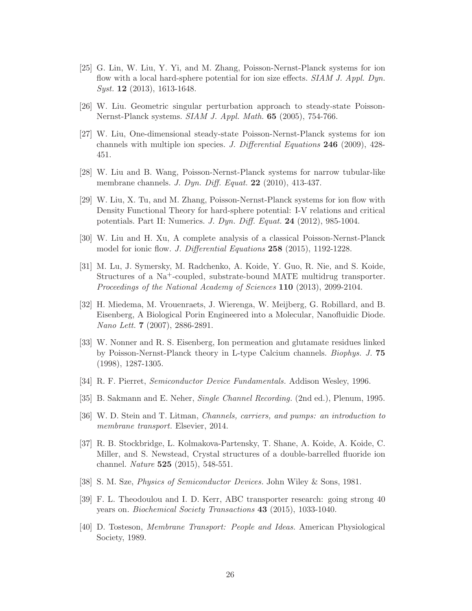- <span id="page-25-11"></span>[25] G. Lin, W. Liu, Y. Yi, and M. Zhang, Poisson-Nernst-Planck systems for ion flow with a local hard-sphere potential for ion size effects. SIAM J. Appl. Dyn. Syst. 12 (2013), 1613-1648.
- <span id="page-25-13"></span><span id="page-25-12"></span>[26] W. Liu. Geometric singular perturbation approach to steady-state Poisson-Nernst-Planck systems. SIAM J. Appl. Math. 65 (2005), 754-766.
- [27] W. Liu, One-dimensional steady-state Poisson-Nernst-Planck systems for ion channels with multiple ion species. J. Differential Equations 246 (2009), 428- 451.
- <span id="page-25-10"></span>[28] W. Liu and B. Wang, Poisson-Nernst-Planck systems for narrow tubular-like membrane channels. J. Dyn. Diff. Equat. 22 (2010), 413-437.
- <span id="page-25-15"></span>[29] W. Liu, X. Tu, and M. Zhang, Poisson-Nernst-Planck systems for ion flow with Density Functional Theory for hard-sphere potential: I-V relations and critical potentials. Part II: Numerics. J. Dyn. Diff. Equat. 24 (2012), 985-1004.
- <span id="page-25-14"></span>[30] W. Liu and H. Xu, A complete analysis of a classical Poisson-Nernst-Planck model for ionic flow. *J. Differential Equations* 258 (2015), 1192-1228.
- <span id="page-25-3"></span>[31] M. Lu, J. Symersky, M. Radchenko, A. Koide, Y. Guo, R. Nie, and S. Koide, Structures of a Na+-coupled, substrate-bound MATE multidrug transporter. Proceedings of the National Academy of Sciences 110 (2013), 2099-2104.
- <span id="page-25-8"></span>[32] H. Miedema, M. Vrouenraets, J. Wierenga, W. Meijberg, G. Robillard, and B. Eisenberg, A Biological Porin Engineered into a Molecular, Nanofluidic Diode. Nano Lett. 7 (2007), 2886-2891.
- <span id="page-25-9"></span>[33] W. Nonner and R. S. Eisenberg, Ion permeation and glutamate residues linked by Poisson-Nernst-Planck theory in L-type Calcium channels. Biophys. J. 75 (1998), 1287-1305.
- <span id="page-25-5"></span><span id="page-25-2"></span>[34] R. F. Pierret, Semiconductor Device Fundamentals. Addison Wesley, 1996.
- <span id="page-25-1"></span>[35] B. Sakmann and E. Neher, Single Channel Recording. (2nd ed.), Plenum, 1995.
- <span id="page-25-4"></span>[36] W. D. Stein and T. Litman, Channels, carriers, and pumps: an introduction to membrane transport. Elsevier, 2014.
- [37] R. B. Stockbridge, L. Kolmakova-Partensky, T. Shane, A. Koide, A. Koide, C. Miller, and S. Newstead, Crystal structures of a double-barrelled fluoride ion channel. Nature 525 (2015), 548-551.
- <span id="page-25-7"></span><span id="page-25-6"></span>[38] S. M. Sze, Physics of Semiconductor Devices. John Wiley & Sons, 1981.
- [39] F. L. Theodoulou and I. D. Kerr, ABC transporter research: going strong 40 years on. Biochemical Society Transactions 43 (2015), 1033-1040.
- <span id="page-25-0"></span>[40] D. Tosteson, Membrane Transport: People and Ideas. American Physiological Society, 1989.